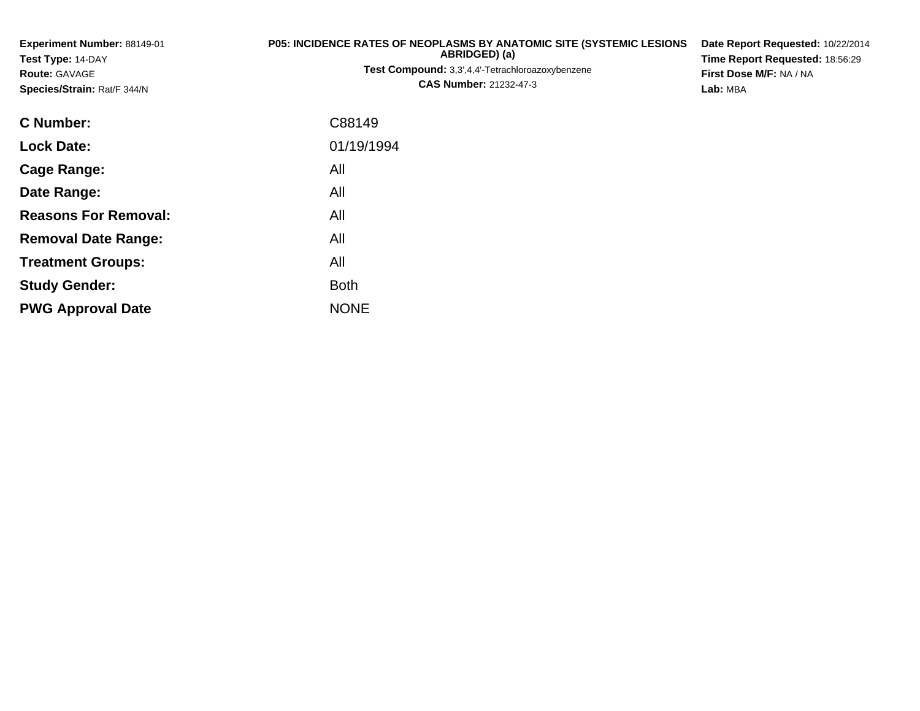| Experiment Number: 88149-01<br>Test Type: 14-DAY<br>Route: GAVAGE<br>Species/Strain: Rat/F 344/N | <b>P05: INCIDENCE RATES OF NEOPLASMS BY ANATOMIC SITE (SYSTEMIC LESIONS</b><br>ABRIDGED) (a)<br>Test Compound: 3,3',4,4'-Tetrachloroazoxybenzene<br><b>CAS Number: 21232-47-3</b> | Date Report Requested: 10/22/2014<br>Time Report Requested: 18:56:29<br>First Dose M/F: NA / NA<br>Lab: MBA |
|--------------------------------------------------------------------------------------------------|-----------------------------------------------------------------------------------------------------------------------------------------------------------------------------------|-------------------------------------------------------------------------------------------------------------|
| <b>C</b> Number:                                                                                 | C88149                                                                                                                                                                            |                                                                                                             |
| <b>Lock Date:</b>                                                                                | 01/19/1994                                                                                                                                                                        |                                                                                                             |
| <b>Cage Range:</b>                                                                               | All                                                                                                                                                                               |                                                                                                             |
| Date Range:                                                                                      | All                                                                                                                                                                               |                                                                                                             |
| <b>Reasons For Removal:</b>                                                                      | All                                                                                                                                                                               |                                                                                                             |
| <b>Removal Date Range:</b>                                                                       | All                                                                                                                                                                               |                                                                                                             |
| <b>Treatment Groups:</b>                                                                         | All                                                                                                                                                                               |                                                                                                             |
| <b>Study Gender:</b>                                                                             | <b>Both</b>                                                                                                                                                                       |                                                                                                             |
| <b>PWG Approval Date</b>                                                                         | <b>NONE</b>                                                                                                                                                                       |                                                                                                             |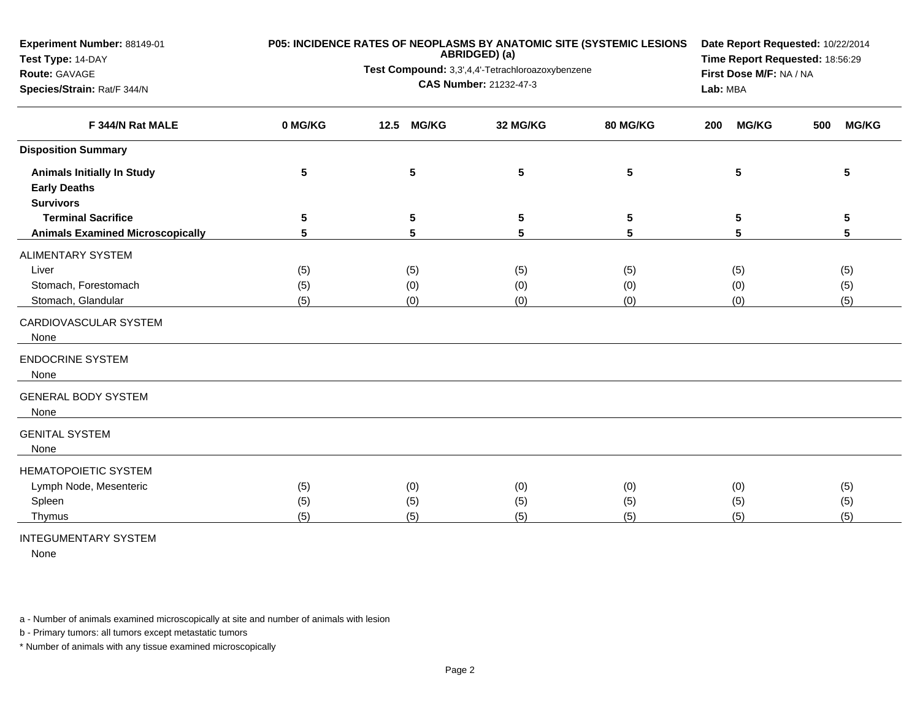| Experiment Number: 88149-01             |         | P05: INCIDENCE RATES OF NEOPLASMS BY ANATOMIC SITE (SYSTEMIC LESIONS<br>ABRIDGED) (a) | Date Report Requested: 10/22/2014 |                 |                                     |                     |
|-----------------------------------------|---------|---------------------------------------------------------------------------------------|-----------------------------------|-----------------|-------------------------------------|---------------------|
| Test Type: 14-DAY                       |         | Test Compound: 3,3',4,4'-Tetrachloroazoxybenzene                                      | Time Report Requested: 18:56:29   |                 |                                     |                     |
| Route: GAVAGE                           |         |                                                                                       | CAS Number: 21232-47-3            |                 | First Dose M/F: NA / NA<br>Lab: MBA |                     |
| Species/Strain: Rat/F 344/N             |         |                                                                                       |                                   |                 |                                     |                     |
| F 344/N Rat MALE                        | 0 MG/KG | <b>MG/KG</b><br>12.5                                                                  | 32 MG/KG                          | 80 MG/KG        | <b>MG/KG</b><br>200                 | <b>MG/KG</b><br>500 |
| <b>Disposition Summary</b>              |         |                                                                                       |                                   |                 |                                     |                     |
| <b>Animals Initially In Study</b>       | 5       | 5                                                                                     | 5                                 | $5\phantom{.0}$ | 5                                   | 5                   |
| <b>Early Deaths</b>                     |         |                                                                                       |                                   |                 |                                     |                     |
| <b>Survivors</b>                        |         |                                                                                       |                                   |                 |                                     |                     |
| <b>Terminal Sacrifice</b>               | 5       | 5                                                                                     | 5                                 | 5               | 5                                   | 5                   |
| <b>Animals Examined Microscopically</b> | 5       | 5                                                                                     | 5                                 | 5               | 5                                   | 5                   |
| <b>ALIMENTARY SYSTEM</b>                |         |                                                                                       |                                   |                 |                                     |                     |
| Liver                                   | (5)     | (5)                                                                                   | (5)                               | (5)             | (5)                                 | (5)                 |
| Stomach, Forestomach                    | (5)     | (0)                                                                                   | (0)                               | (0)             | (0)                                 | (5)                 |
| Stomach, Glandular                      | (5)     | (0)                                                                                   | (0)                               | (0)             | (0)                                 | (5)                 |
| CARDIOVASCULAR SYSTEM<br>None           |         |                                                                                       |                                   |                 |                                     |                     |
| <b>ENDOCRINE SYSTEM</b><br>None         |         |                                                                                       |                                   |                 |                                     |                     |
| <b>GENERAL BODY SYSTEM</b><br>None      |         |                                                                                       |                                   |                 |                                     |                     |
| <b>GENITAL SYSTEM</b><br>None           |         |                                                                                       |                                   |                 |                                     |                     |
| HEMATOPOIETIC SYSTEM                    |         |                                                                                       |                                   |                 |                                     |                     |
| Lymph Node, Mesenteric                  | (5)     | (0)                                                                                   | (0)                               | (0)             | (0)                                 | (5)                 |
| Spleen                                  | (5)     | (5)                                                                                   | (5)                               | (5)             | (5)                                 | (5)                 |
| Thymus                                  | (5)     | (5)                                                                                   | (5)                               | (5)             | (5)                                 | (5)                 |
|                                         |         |                                                                                       |                                   |                 |                                     |                     |

INTEGUMENTARY SYSTEM

None

a - Number of animals examined microscopically at site and number of animals with lesion

b - Primary tumors: all tumors except metastatic tumors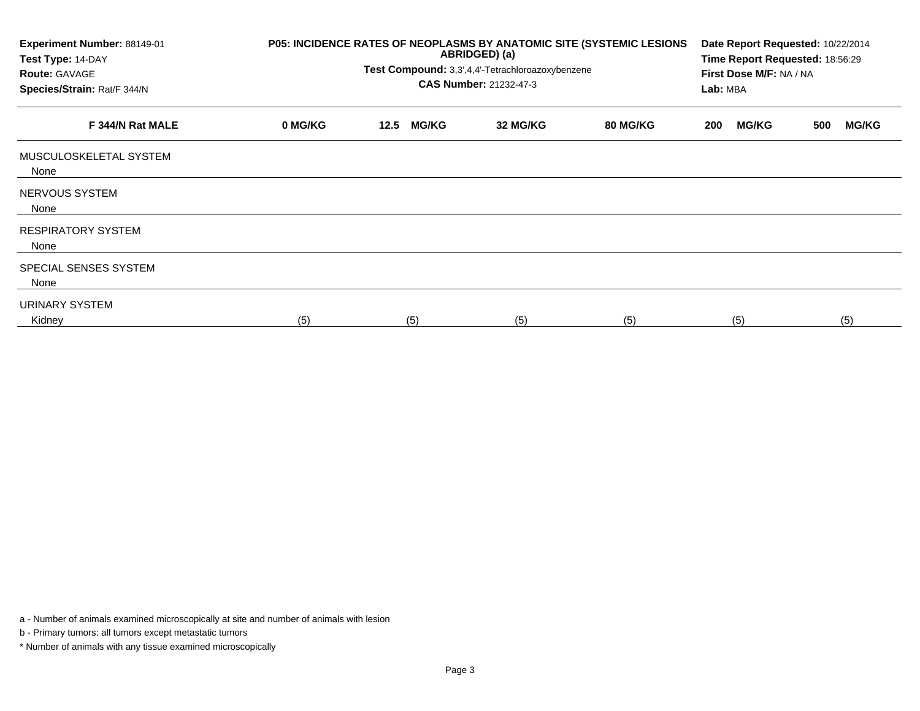| Experiment Number: 88149-01<br>Test Type: 14-DAY<br><b>Route: GAVAGE</b><br>Species/Strain: Rat/F 344/N | P05: INCIDENCE RATES OF NEOPLASMS BY ANATOMIC SITE (SYSTEMIC LESIONS | Date Report Requested: 10/22/2014<br>Time Report Requested: 18:56:29<br>First Dose M/F: NA / NA<br>Lab: MBA |              |          |          |     |              |     |              |
|---------------------------------------------------------------------------------------------------------|----------------------------------------------------------------------|-------------------------------------------------------------------------------------------------------------|--------------|----------|----------|-----|--------------|-----|--------------|
| F 344/N Rat MALE                                                                                        | 0 MG/KG                                                              | 12.5                                                                                                        | <b>MG/KG</b> | 32 MG/KG | 80 MG/KG | 200 | <b>MG/KG</b> | 500 | <b>MG/KG</b> |
| MUSCULOSKELETAL SYSTEM<br>None                                                                          |                                                                      |                                                                                                             |              |          |          |     |              |     |              |
| NERVOUS SYSTEM<br>None                                                                                  |                                                                      |                                                                                                             |              |          |          |     |              |     |              |
| <b>RESPIRATORY SYSTEM</b><br>None                                                                       |                                                                      |                                                                                                             |              |          |          |     |              |     |              |
| SPECIAL SENSES SYSTEM<br>None                                                                           |                                                                      |                                                                                                             |              |          |          |     |              |     |              |
| URINARY SYSTEM<br>Kidney                                                                                | (5)                                                                  |                                                                                                             | (5)          | (5)      | (5)      |     | (5)          |     | (5)          |

a - Number of animals examined microscopically at site and number of animals with lesion

b - Primary tumors: all tumors except metastatic tumors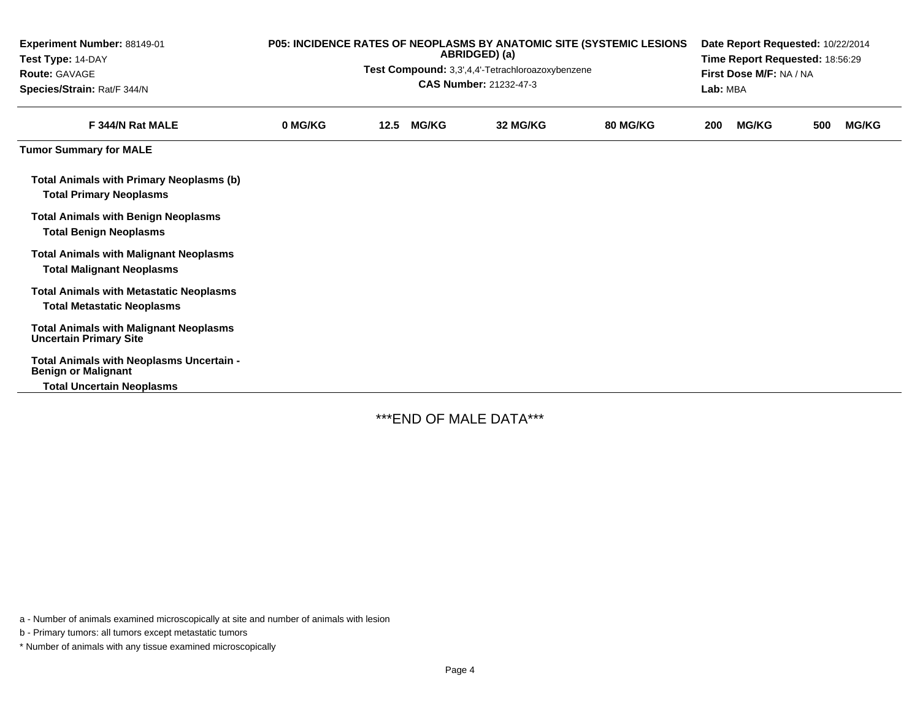| Experiment Number: 88149-01<br>Test Type: 14-DAY<br><b>Route: GAVAGE</b><br>Species/Strain: Rat/F 344/N | P05: INCIDENCE RATES OF NEOPLASMS BY ANATOMIC SITE (SYSTEMIC LESIONS<br>ABRIDGED) (a)<br>Test Compound: 3,3',4,4'-Tetrachloroazoxybenzene<br>CAS Number: 21232-47-3 |      |              |          |          |     | Date Report Requested: 10/22/2014<br>Time Report Requested: 18:56:29<br>First Dose M/F: NA / NA<br>Lab: MBA |     |              |  |  |  |
|---------------------------------------------------------------------------------------------------------|---------------------------------------------------------------------------------------------------------------------------------------------------------------------|------|--------------|----------|----------|-----|-------------------------------------------------------------------------------------------------------------|-----|--------------|--|--|--|
| F 344/N Rat MALE                                                                                        | 0 MG/KG                                                                                                                                                             | 12.5 | <b>MG/KG</b> | 32 MG/KG | 80 MG/KG | 200 | <b>MG/KG</b>                                                                                                | 500 | <b>MG/KG</b> |  |  |  |
| <b>Tumor Summary for MALE</b>                                                                           |                                                                                                                                                                     |      |              |          |          |     |                                                                                                             |     |              |  |  |  |
| Total Animals with Primary Neoplasms (b)<br><b>Total Primary Neoplasms</b>                              |                                                                                                                                                                     |      |              |          |          |     |                                                                                                             |     |              |  |  |  |
| <b>Total Animals with Benign Neoplasms</b><br><b>Total Benign Neoplasms</b>                             |                                                                                                                                                                     |      |              |          |          |     |                                                                                                             |     |              |  |  |  |
| <b>Total Animals with Malignant Neoplasms</b><br><b>Total Malignant Neoplasms</b>                       |                                                                                                                                                                     |      |              |          |          |     |                                                                                                             |     |              |  |  |  |
| <b>Total Animals with Metastatic Neoplasms</b><br><b>Total Metastatic Neoplasms</b>                     |                                                                                                                                                                     |      |              |          |          |     |                                                                                                             |     |              |  |  |  |
| <b>Total Animals with Malignant Neoplasms</b><br><b>Uncertain Primary Site</b>                          |                                                                                                                                                                     |      |              |          |          |     |                                                                                                             |     |              |  |  |  |
| Total Animals with Neoplasms Uncertain -<br><b>Benign or Malignant</b>                                  |                                                                                                                                                                     |      |              |          |          |     |                                                                                                             |     |              |  |  |  |
| <b>Total Uncertain Neoplasms</b>                                                                        |                                                                                                                                                                     |      |              |          |          |     |                                                                                                             |     |              |  |  |  |

\*\*\*END OF MALE DATA\*\*\*

a - Number of animals examined microscopically at site and number of animals with lesion

b - Primary tumors: all tumors except metastatic tumors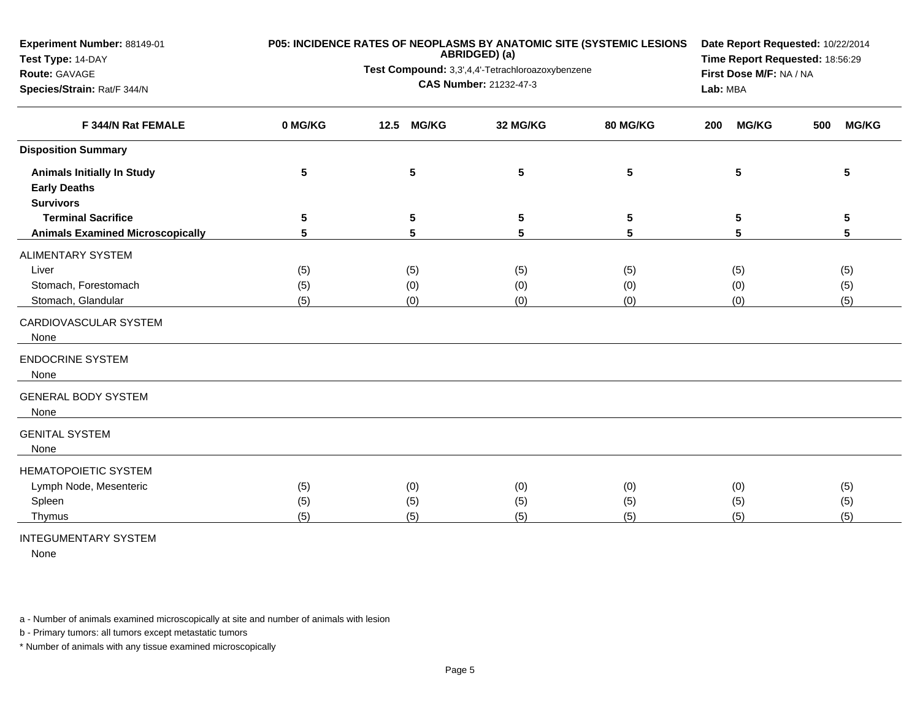| Experiment Number: 88149-01             |         | P05: INCIDENCE RATES OF NEOPLASMS BY ANATOMIC SITE (SYSTEMIC LESIONS<br>ABRIDGED) (a) | Date Report Requested: 10/22/2014<br>Time Report Requested: 18:56:29 |                 |                     |                     |
|-----------------------------------------|---------|---------------------------------------------------------------------------------------|----------------------------------------------------------------------|-----------------|---------------------|---------------------|
| Test Type: 14-DAY<br>Route: GAVAGE      |         | Test Compound: 3,3',4,4'-Tetrachloroazoxybenzene                                      | First Dose M/F: NA / NA                                              |                 |                     |                     |
| Species/Strain: Rat/F 344/N             |         |                                                                                       | CAS Number: 21232-47-3                                               |                 | Lab: MBA            |                     |
|                                         |         |                                                                                       |                                                                      |                 |                     |                     |
| F 344/N Rat FEMALE                      | 0 MG/KG | <b>MG/KG</b><br>12.5                                                                  | 32 MG/KG                                                             | <b>80 MG/KG</b> | <b>MG/KG</b><br>200 | <b>MG/KG</b><br>500 |
| <b>Disposition Summary</b>              |         |                                                                                       |                                                                      |                 |                     |                     |
| <b>Animals Initially In Study</b>       | 5       | 5                                                                                     | 5                                                                    | 5               | 5                   | 5                   |
| <b>Early Deaths</b>                     |         |                                                                                       |                                                                      |                 |                     |                     |
| <b>Survivors</b>                        |         |                                                                                       |                                                                      |                 |                     |                     |
| <b>Terminal Sacrifice</b>               | 5       | 5                                                                                     | 5                                                                    | 5               | 5                   | 5                   |
| <b>Animals Examined Microscopically</b> | 5       | 5                                                                                     | 5                                                                    | 5               | 5                   | $5\phantom{.0}$     |
| <b>ALIMENTARY SYSTEM</b>                |         |                                                                                       |                                                                      |                 |                     |                     |
| Liver                                   | (5)     | (5)                                                                                   | (5)                                                                  | (5)             | (5)                 | (5)                 |
| Stomach, Forestomach                    | (5)     | (0)                                                                                   | (0)                                                                  | (0)             | (0)                 | (5)                 |
| Stomach, Glandular                      | (5)     | (0)                                                                                   | (0)                                                                  | (0)             | (0)                 | (5)                 |
| CARDIOVASCULAR SYSTEM<br>None           |         |                                                                                       |                                                                      |                 |                     |                     |
| <b>ENDOCRINE SYSTEM</b><br>None         |         |                                                                                       |                                                                      |                 |                     |                     |
| <b>GENERAL BODY SYSTEM</b><br>None      |         |                                                                                       |                                                                      |                 |                     |                     |
| <b>GENITAL SYSTEM</b><br>None           |         |                                                                                       |                                                                      |                 |                     |                     |
| <b>HEMATOPOIETIC SYSTEM</b>             |         |                                                                                       |                                                                      |                 |                     |                     |
| Lymph Node, Mesenteric                  | (5)     | (0)                                                                                   | (0)                                                                  | (0)             | (0)                 | (5)                 |
| Spleen                                  | (5)     | (5)                                                                                   | (5)                                                                  | (5)             | (5)                 | (5)                 |
| Thymus                                  | (5)     | (5)                                                                                   | (5)                                                                  | (5)             | (5)                 | (5)                 |
|                                         |         |                                                                                       |                                                                      |                 |                     |                     |

INTEGUMENTARY SYSTEM

None

a - Number of animals examined microscopically at site and number of animals with lesion

b - Primary tumors: all tumors except metastatic tumors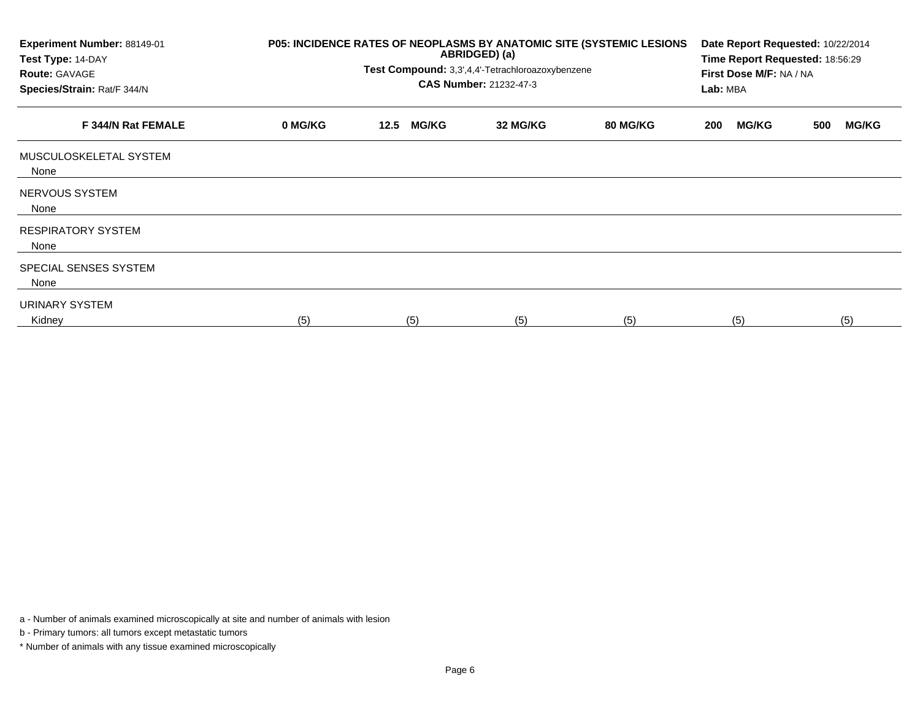| Experiment Number: 88149-01<br>Test Type: 14-DAY<br><b>Route: GAVAGE</b><br>Species/Strain: Rat/F 344/N | P05: INCIDENCE RATES OF NEOPLASMS BY ANATOMIC SITE (SYSTEMIC LESIONS | Date Report Requested: 10/22/2014<br>Time Report Requested: 18:56:29<br>First Dose M/F: NA / NA<br>Lab: MBA |              |          |          |     |              |     |              |
|---------------------------------------------------------------------------------------------------------|----------------------------------------------------------------------|-------------------------------------------------------------------------------------------------------------|--------------|----------|----------|-----|--------------|-----|--------------|
| F 344/N Rat FEMALE                                                                                      | 0 MG/KG                                                              | 12.5                                                                                                        | <b>MG/KG</b> | 32 MG/KG | 80 MG/KG | 200 | <b>MG/KG</b> | 500 | <b>MG/KG</b> |
| MUSCULOSKELETAL SYSTEM<br>None                                                                          |                                                                      |                                                                                                             |              |          |          |     |              |     |              |
| NERVOUS SYSTEM<br>None                                                                                  |                                                                      |                                                                                                             |              |          |          |     |              |     |              |
| <b>RESPIRATORY SYSTEM</b><br>None                                                                       |                                                                      |                                                                                                             |              |          |          |     |              |     |              |
| SPECIAL SENSES SYSTEM<br>None                                                                           |                                                                      |                                                                                                             |              |          |          |     |              |     |              |
| URINARY SYSTEM<br>Kidney                                                                                | (5)                                                                  |                                                                                                             | (5)          | (5)      | (5)      |     | (5)          |     | (5)          |

a - Number of animals examined microscopically at site and number of animals with lesion

b - Primary tumors: all tumors except metastatic tumors